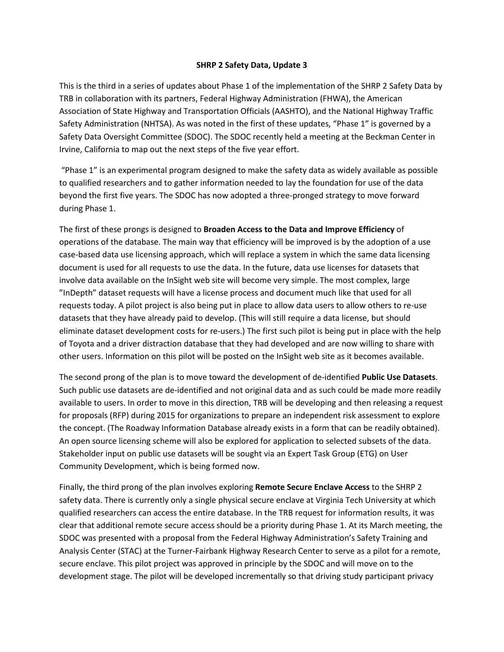## **SHRP 2 Safety Data, Update 3**

This is the third in a series of updates about Phase 1 of the implementation of the SHRP 2 Safety Data by TRB in collaboration with its partners, Federal Highway Administration (FHWA), the American Association of State Highway and Transportation Officials (AASHTO), and the National Highway Traffic Safety Administration (NHTSA). As was noted in the first of these updates, "Phase 1" is governed by a Safety Data Oversight Committee (SDOC). The SDOC recently held a meeting at the Beckman Center in Irvine, California to map out the next steps of the five year effort.

"Phase 1" is an experimental program designed to make the safety data as widely available as possible to qualified researchers and to gather information needed to lay the foundation for use of the data beyond the first five years. The SDOC has now adopted a three-pronged strategy to move forward during Phase 1.

The first of these prongs is designed to **Broaden Access to the Data and Improve Efficiency** of operations of the database. The main way that efficiency will be improved is by the adoption of a use case-based data use licensing approach, which will replace a system in which the same data licensing document is used for all requests to use the data. In the future, data use licenses for datasets that involve data available on the InSight web site will become very simple. The most complex, large "InDepth" dataset requests will have a license process and document much like that used for all requests today. A pilot project is also being put in place to allow data users to allow others to re-use datasets that they have already paid to develop. (This will still require a data license, but should eliminate dataset development costs for re-users.) The first such pilot is being put in place with the help of Toyota and a driver distraction database that they had developed and are now willing to share with other users. Information on this pilot will be posted on the InSight web site as it becomes available.

The second prong of the plan is to move toward the development of de-identified **Public Use Datasets**. Such public use datasets are de-identified and not original data and as such could be made more readily available to users. In order to move in this direction, TRB will be developing and then releasing a request for proposals (RFP) during 2015 for organizations to prepare an independent risk assessment to explore the concept. (The Roadway Information Database already exists in a form that can be readily obtained). An open source licensing scheme will also be explored for application to selected subsets of the data. Stakeholder input on public use datasets will be sought via an Expert Task Group (ETG) on User Community Development, which is being formed now.

Finally, the third prong of the plan involves exploring **Remote Secure Enclave Access** to the SHRP 2 safety data. There is currently only a single physical secure enclave at Virginia Tech University at which qualified researchers can access the entire database. In the TRB request for information results, it was clear that additional remote secure access should be a priority during Phase 1. At its March meeting, the SDOC was presented with a proposal from the Federal Highway Administration's Safety Training and Analysis Center (STAC) at the Turner-Fairbank Highway Research Center to serve as a pilot for a remote, secure enclave. This pilot project was approved in principle by the SDOC and will move on to the development stage. The pilot will be developed incrementally so that driving study participant privacy